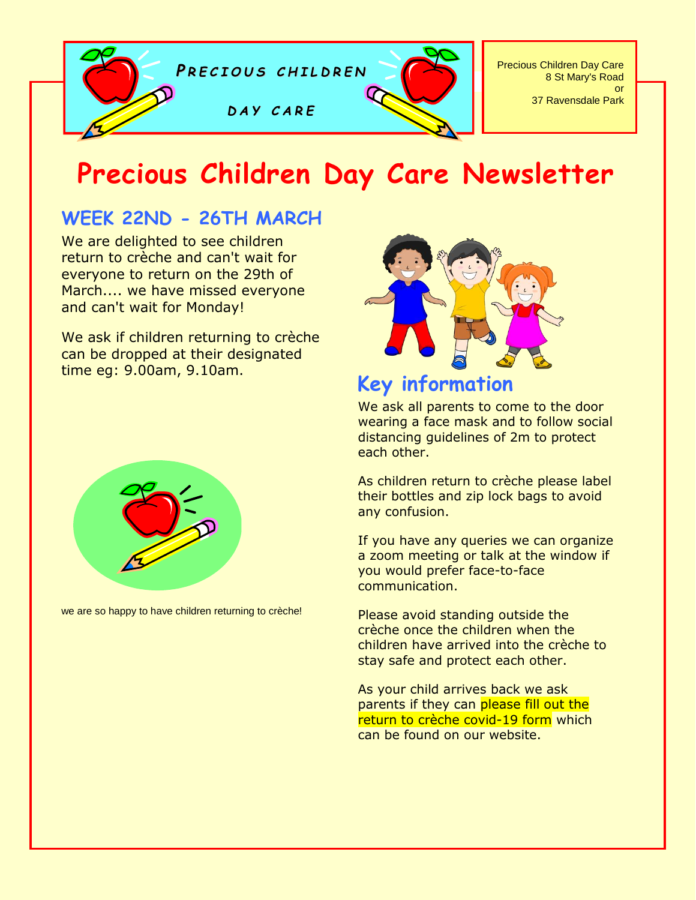

# **Precious Children Day Care Newsletter**

## **WEEK 22ND - 26TH MARCH**

We are delighted to see children return to crèche and can't wait for everyone to return on the 29th of March.... we have missed everyone and can't wait for Monday!

We ask if children returning to crèche can be dropped at their designated time eg: 9.00am, 9.10am.



## **Key information**

We ask all parents to come to the door wearing a face mask and to follow social distancing guidelines of 2m to protect each other.

As children return to crèche please label their bottles and zip lock bags to avoid any confusion.

If you have any queries we can organize a zoom meeting or talk at the window if you would prefer face-to-face communication.

Please avoid standing outside the crèche once the children when the children have arrived into the crèche to stay safe and protect each other.

As your child arrives back we ask parents if they can please fill out the return to crèche covid-19 form which can be found on our website.



we are so happy to have children returning to crèche!